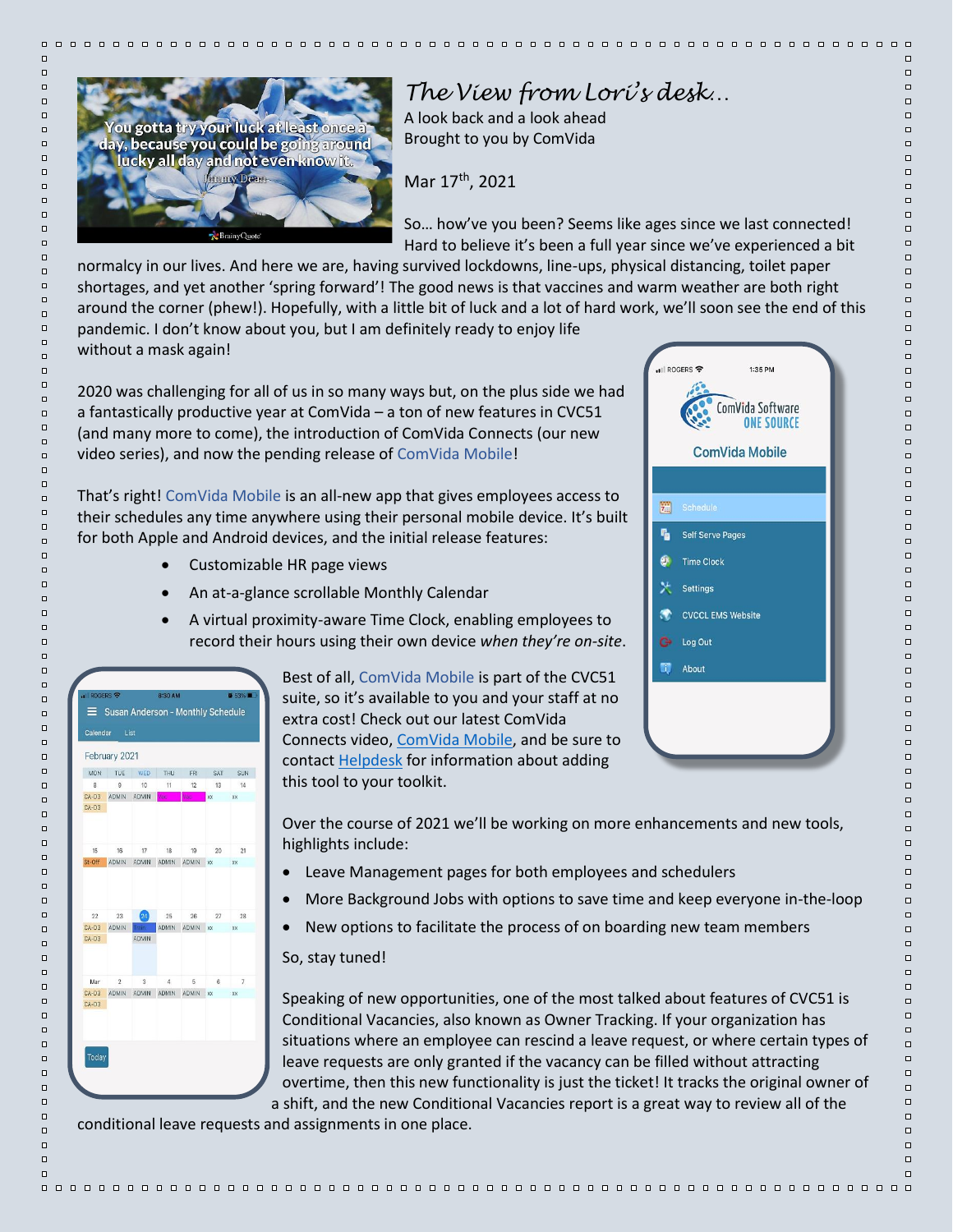

## *The View from Lori's desk…*

A look back and a look ahead Brought to you by ComVida

Mar 17<sup>th</sup>, 2021

So… how've you been? Seems like ages since we last connected! Hard to believe it's been a full year since we've experienced a bit

normalcy in our lives. And here we are, having survived lockdowns, line-ups, physical distancing, toilet paper shortages, and yet another 'spring forward'! The good news is that vaccines and warm weather are both right around the corner (phew!). Hopefully, with a little bit of luck and a lot of hard work, we'll soon see the end of this pandemic. I don't know about you, but I am definitely ready to enjoy life without a mask again!

2020 was challenging for all of us in so many ways but, on the plus side we had a fantastically productive year at ComVida – a ton of new features in CVC51 (and many more to come), the introduction of ComVida Connects (our new video series), and now the pending release of ComVida Mobile!

That's right! ComVida Mobile is an all-new app that gives employees access to their schedules any time anywhere using their personal mobile device. It's built for both Apple and Android devices, and the initial release features:

- Customizable HR page views
- An at-a-glance scrollable Monthly Calendar
- A virtual proximity-aware Time Clock, enabling employees to record their hours using their own device *when they're on-site*.



Best of all, ComVida Mobile is part of the CVC51 suite, so it's available to you and your staff at no extra cost! Check out our latest ComVida Connects video, [ComVida Mobile,](https://youtu.be/wwk7nHcktlk) and be sure to contact **Helpdesk** for information about adding this tool to your toolkit.

Over the course of 2021 we'll be working on more enhancements and new tools, highlights include:

- Leave Management pages for both employees and schedulers
- More Background Jobs with options to save time and keep everyone in-the-loop
- New options to facilitate the process of on boarding new team members

## So, stay tuned!

Speaking of new opportunities, one of the most talked about features of CVC51 is Conditional Vacancies, also known as Owner Tracking. If your organization has situations where an employee can rescind a leave request, or where certain types of leave requests are only granted if the vacancy can be filled without attracting overtime, then this new functionality is just the ticket! It tracks the original owner of a shift, and the new Conditional Vacancies report is a great way to review all of the

conditional leave requests and assignments in one place.

|           | ROGERS କ<br>1:35 PM<br>ComVida Software<br><b>ONE SOURCE</b> |
|-----------|--------------------------------------------------------------|
|           | <b>ComVida Mobile</b>                                        |
|           |                                                              |
| 躖         | Schedule                                                     |
| ٩.        | <b>Self Serve Pages</b>                                      |
| 9         | <b>Time Clock</b>                                            |
|           | <b>X</b> Settings                                            |
| $\bullet$ | <b>CVCCL EMS Website</b>                                     |
|           | <b>C</b> Log Out                                             |
| o,        | About                                                        |

 $\Box$ 

 $\Box$ 

 $\Box$ 

 $\Box$ 

 $\Box$ 

 $\Box$ 

 $\Box$ 

 $\Box$ 

 $\Box$ 

 $\Box$ 

 $\Box$ 

 $\Box$ 

 $\Box$ 

 $\Box$ 

 $\Box$ 

 $\Box$ 

 $\Box$ 

 $\Box$ 

 $\Box$ 

 $\Box$ 

 $\Box$ 

 $\Box$ 

 $\Box$ 

 $\Box$ 

 $\Box$ 

 $\Box$ 

 $\Box$ 

 $\Box$ 

 $\Box$ 

 $\Box$ 

 $\Box$ 

 $\Box$ 

 $\Box$ 

 $\Box$ 

 $\Box$ 

 $\Box$ 

 $\Box$ 

 $\Box$ 

 $\Box$ 

 $\Box$ 

 $\Box$ 

 $\Box$ 

 $\Box$ 

 $\Box$ 

 $\Box$ 

 $\Box$ 

 $\Box$ 

 $\Box$ 

 $\Box$ 

 $\Box$ 

 $\Box$ 

 $\Box$ 

 $\Box$ 

 $\Box$ 

 $\Box$ 

 $\Box$ 

 $\Box$ 

 $\Box$ 

 $\Box$ 

 $\Box$ 

 $\Box$ 

 $\Box$ 

 $\Box$ 

 $\Box$ 

 $\Box$ 

 $\Box$ 

 $\Box$ 

 $\Box$ 

 $\Box$ 

 $\Box$ 

 $\Box$ 

 $\Box$ 

 $\Box$ 

 $\Box$ 

 $\Box$ 

 $\Box$ 

 $\Box$